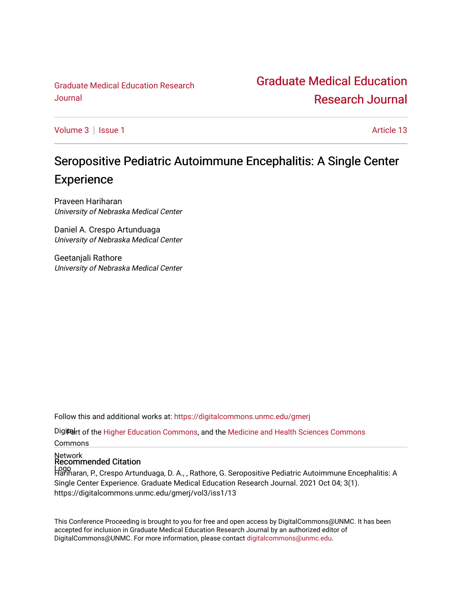[Graduate Medical Education Research](http://www.unmc.edu/)  Journal

# [Graduate Medical Education](https://digitalcommons.unmc.edu/gmerj)  [Research Journal](https://digitalcommons.unmc.edu/gmerj)

[Volume 3](https://digitalcommons.unmc.edu/gmerj/vol3) | [Issue 1](https://digitalcommons.unmc.edu/gmerj/vol3/iss1) Article 13

# Seropositive Pediatric Autoimmune Encephalitis: A Single Center **Experience**

Praveen Hariharan University of Nebraska Medical Center

Daniel A. Crespo Artunduaga University of Nebraska Medical Center

Geetanjali Rathore University of Nebraska Medical Center

Follow this and additional works at: [https://digitalcommons.unmc.edu/gmerj](https://digitalcommons.unmc.edu/gmerj?utm_source=digitalcommons.unmc.edu%2Fgmerj%2Fvol3%2Fiss1%2F13&utm_medium=PDF&utm_campaign=PDFCoverPages) 

Digitelrt of the [Higher Education Commons,](http://network.bepress.com/hgg/discipline/1245?utm_source=digitalcommons.unmc.edu%2Fgmerj%2Fvol3%2Fiss1%2F13&utm_medium=PDF&utm_campaign=PDFCoverPages) and the [Medicine and Health Sciences Commons](http://network.bepress.com/hgg/discipline/648?utm_source=digitalcommons.unmc.edu%2Fgmerj%2Fvol3%2Fiss1%2F13&utm_medium=PDF&utm_campaign=PDFCoverPages) Commons

Network Recommended Citation

Logo Hariharan, P., Crespo Artunduaga, D. A., , Rathore, G. Seropositive Pediatric Autoimmune Encephalitis: A Single Center Experience. Graduate Medical Education Research Journal. 2021 Oct 04; 3(1). https://digitalcommons.unmc.edu/gmerj/vol3/iss1/13

This Conference Proceeding is brought to you for free and open access by DigitalCommons@UNMC. It has been accepted for inclusion in Graduate Medical Education Research Journal by an authorized editor of DigitalCommons@UNMC. For more information, please contact [digitalcommons@unmc.edu.](mailto:digitalcommons@unmc.edu)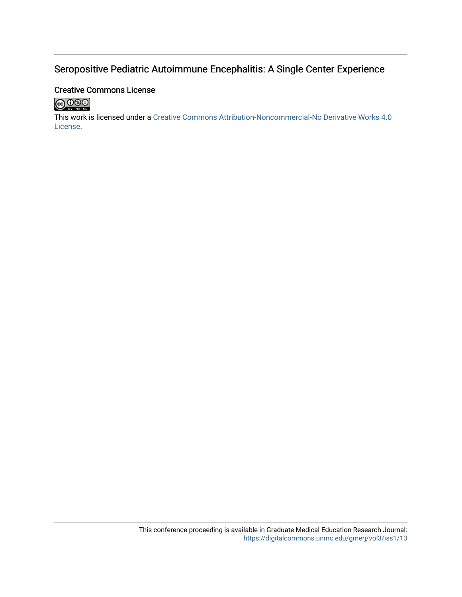### Seropositive Pediatric Autoimmune Encephalitis: A Single Center Experience

### Creative Commons License



This work is licensed under a [Creative Commons Attribution-Noncommercial-No Derivative Works 4.0](http://creativecommons.org/licenses/by-nc-nd/4.0/) [License](http://creativecommons.org/licenses/by-nc-nd/4.0/).